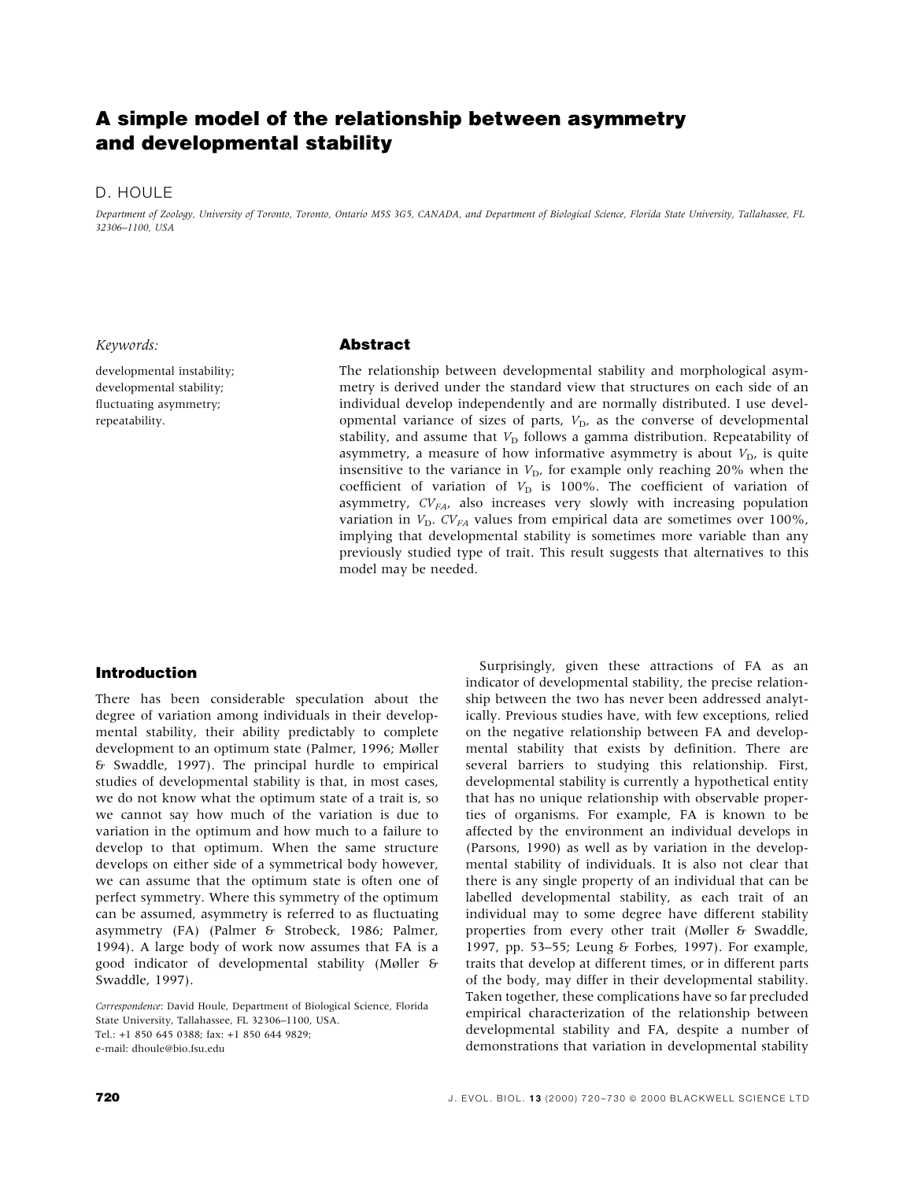# A simple model of the relationship between asymmetry and developmental stability

### D. HOULE

Department of Zoology, University of Toronto, Toronto, Ontario M5S 3G5, CANADA, and Department of Biological Science, Florida State University, Tallahassee, FL 32306±1100, USA

#### Keywords:

developmental instability; developmental stability; fluctuating asymmetry; repeatability.

### Abstract

The relationship between developmental stability and morphological asymmetry is derived under the standard view that structures on each side of an individual develop independently and are normally distributed. I use developmental variance of sizes of parts,  $V<sub>D</sub>$ , as the converse of developmental stability, and assume that  $V<sub>D</sub>$  follows a gamma distribution. Repeatability of asymmetry, a measure of how informative asymmetry is about  $V<sub>D</sub>$ , is quite insensitive to the variance in  $V<sub>D</sub>$ , for example only reaching 20% when the coefficient of variation of  $V<sub>D</sub>$  is 100%. The coefficient of variation of asymmetry,  $CV_{FA}$ , also increases very slowly with increasing population variation in  $V<sub>D</sub>$ . C $V<sub>FA</sub>$  values from empirical data are sometimes over 100%, implying that developmental stability is sometimes more variable than any previously studied type of trait. This result suggests that alternatives to this model may be needed.

### Introduction

There has been considerable speculation about the degree of variation among individuals in their developmental stability, their ability predictably to complete development to an optimum state (Palmer, 1996; Møller & Swaddle, 1997). The principal hurdle to empirical studies of developmental stability is that, in most cases, we do not know what the optimum state of a trait is, so we cannot say how much of the variation is due to variation in the optimum and how much to a failure to develop to that optimum. When the same structure develops on either side of a symmetrical body however, we can assume that the optimum state is often one of perfect symmetry. Where this symmetry of the optimum can be assumed, asymmetry is referred to as fluctuating asymmetry (FA) (Palmer & Strobeck, 1986; Palmer, 1994). A large body of work now assumes that FA is a good indicator of developmental stability (Mùller & Swaddle, 1997).

Correspondence: David Houle, Department of Biological Science, Florida State University, Tallahassee, FL 32306-1100, USA. Tel.: +1 850 645 0388; fax: +1 850 644 9829; e-mail: dhoule@bio.fsu.edu

Surprisingly, given these attractions of FA as an indicator of developmental stability, the precise relationship between the two has never been addressed analytically. Previous studies have, with few exceptions, relied on the negative relationship between FA and developmental stability that exists by definition. There are several barriers to studying this relationship. First, developmental stability is currently a hypothetical entity that has no unique relationship with observable properties of organisms. For example, FA is known to be affected by the environment an individual develops in (Parsons, 1990) as well as by variation in the developmental stability of individuals. It is also not clear that there is any single property of an individual that can be labelled developmental stability, as each trait of an individual may to some degree have different stability properties from every other trait (Møller & Swaddle, 1997, pp. 53-55; Leung & Forbes, 1997). For example, traits that develop at different times, or in different parts of the body, may differ in their developmental stability. Taken together, these complications have so far precluded empirical characterization of the relationship between developmental stability and FA, despite a number of demonstrations that variation in developmental stability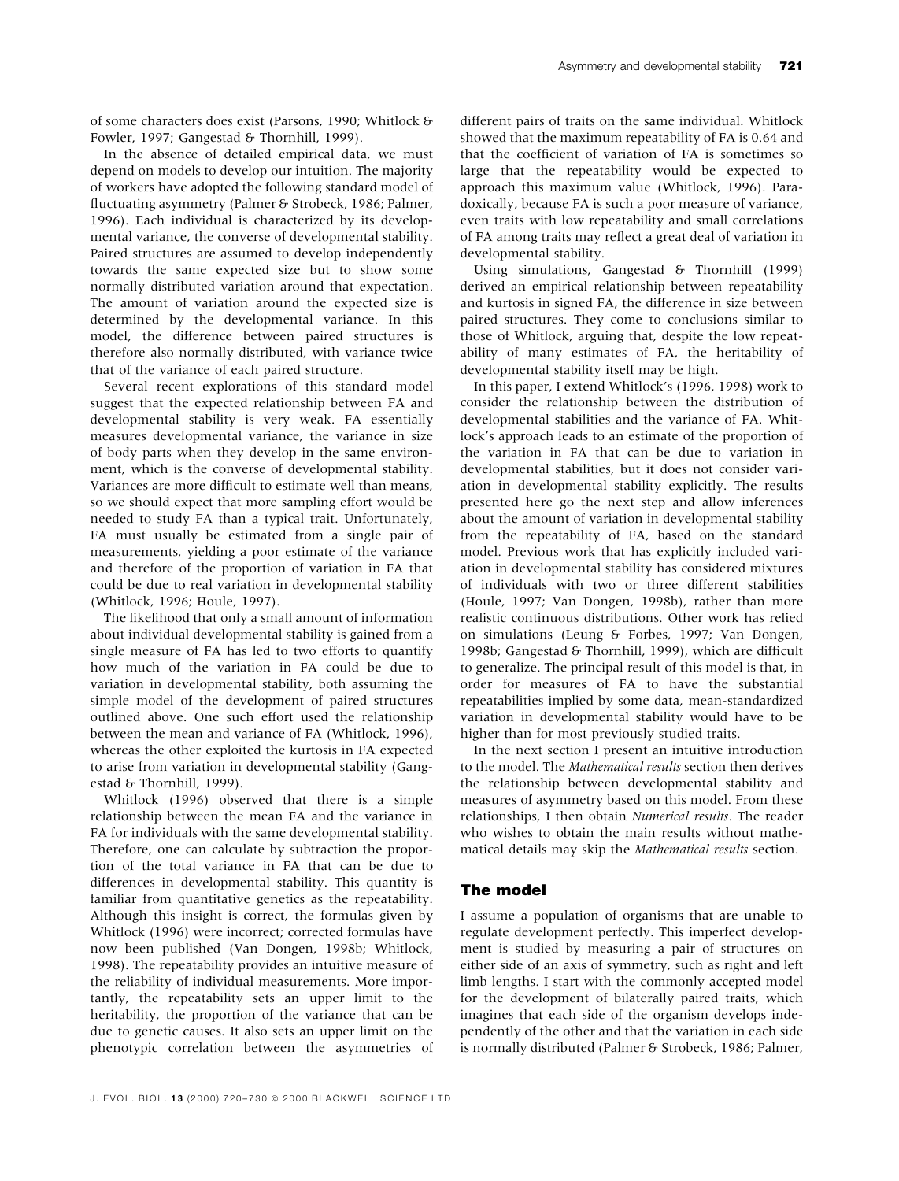of some characters does exist (Parsons, 1990; Whitlock & Fowler, 1997; Gangestad & Thornhill, 1999).

In the absence of detailed empirical data, we must depend on models to develop our intuition. The majority of workers have adopted the following standard model of fluctuating asymmetry (Palmer & Strobeck, 1986; Palmer, 1996). Each individual is characterized by its developmental variance, the converse of developmental stability. Paired structures are assumed to develop independently towards the same expected size but to show some normally distributed variation around that expectation. The amount of variation around the expected size is determined by the developmental variance. In this model, the difference between paired structures is therefore also normally distributed, with variance twice that of the variance of each paired structure.

Several recent explorations of this standard model suggest that the expected relationship between FA and developmental stability is very weak. FA essentially measures developmental variance, the variance in size of body parts when they develop in the same environment, which is the converse of developmental stability. Variances are more difficult to estimate well than means, so we should expect that more sampling effort would be needed to study FA than a typical trait. Unfortunately, FA must usually be estimated from a single pair of measurements, yielding a poor estimate of the variance and therefore of the proportion of variation in FA that could be due to real variation in developmental stability (Whitlock, 1996; Houle, 1997).

The likelihood that only a small amount of information about individual developmental stability is gained from a single measure of FA has led to two efforts to quantify how much of the variation in FA could be due to variation in developmental stability, both assuming the simple model of the development of paired structures outlined above. One such effort used the relationship between the mean and variance of FA (Whitlock, 1996), whereas the other exploited the kurtosis in FA expected to arise from variation in developmental stability (Gangestad & Thornhill, 1999).

Whitlock (1996) observed that there is a simple relationship between the mean FA and the variance in FA for individuals with the same developmental stability. Therefore, one can calculate by subtraction the proportion of the total variance in FA that can be due to differences in developmental stability. This quantity is familiar from quantitative genetics as the repeatability. Although this insight is correct, the formulas given by Whitlock (1996) were incorrect; corrected formulas have now been published (Van Dongen, 1998b; Whitlock, 1998). The repeatability provides an intuitive measure of the reliability of individual measurements. More importantly, the repeatability sets an upper limit to the heritability, the proportion of the variance that can be due to genetic causes. It also sets an upper limit on the phenotypic correlation between the asymmetries of

different pairs of traits on the same individual. Whitlock showed that the maximum repeatability of FA is 0.64 and that the coefficient of variation of FA is sometimes so large that the repeatability would be expected to approach this maximum value (Whitlock, 1996). Paradoxically, because FA is such a poor measure of variance, even traits with low repeatability and small correlations of FA among traits may reflect a great deal of variation in developmental stability.

Using simulations, Gangestad & Thornhill (1999) derived an empirical relationship between repeatability and kurtosis in signed FA, the difference in size between paired structures. They come to conclusions similar to those of Whitlock, arguing that, despite the low repeatability of many estimates of FA, the heritability of developmental stability itself may be high.

In this paper, I extend Whitlock's (1996, 1998) work to consider the relationship between the distribution of developmental stabilities and the variance of FA. Whitlock's approach leads to an estimate of the proportion of the variation in FA that can be due to variation in developmental stabilities, but it does not consider variation in developmental stability explicitly. The results presented here go the next step and allow inferences about the amount of variation in developmental stability from the repeatability of FA, based on the standard model. Previous work that has explicitly included variation in developmental stability has considered mixtures of individuals with two or three different stabilities (Houle, 1997; Van Dongen, 1998b), rather than more realistic continuous distributions. Other work has relied on simulations (Leung & Forbes, 1997; Van Dongen, 1998b; Gangestad & Thornhill, 1999), which are difficult to generalize. The principal result of this model is that, in order for measures of FA to have the substantial repeatabilities implied by some data, mean-standardized variation in developmental stability would have to be higher than for most previously studied traits.

In the next section I present an intuitive introduction to the model. The Mathematical results section then derives the relationship between developmental stability and measures of asymmetry based on this model. From these relationships, I then obtain Numerical results. The reader who wishes to obtain the main results without mathematical details may skip the Mathematical results section.

### The model

I assume a population of organisms that are unable to regulate development perfectly. This imperfect development is studied by measuring a pair of structures on either side of an axis of symmetry, such as right and left limb lengths. I start with the commonly accepted model for the development of bilaterally paired traits, which imagines that each side of the organism develops independently of the other and that the variation in each side is normally distributed (Palmer & Strobeck, 1986; Palmer,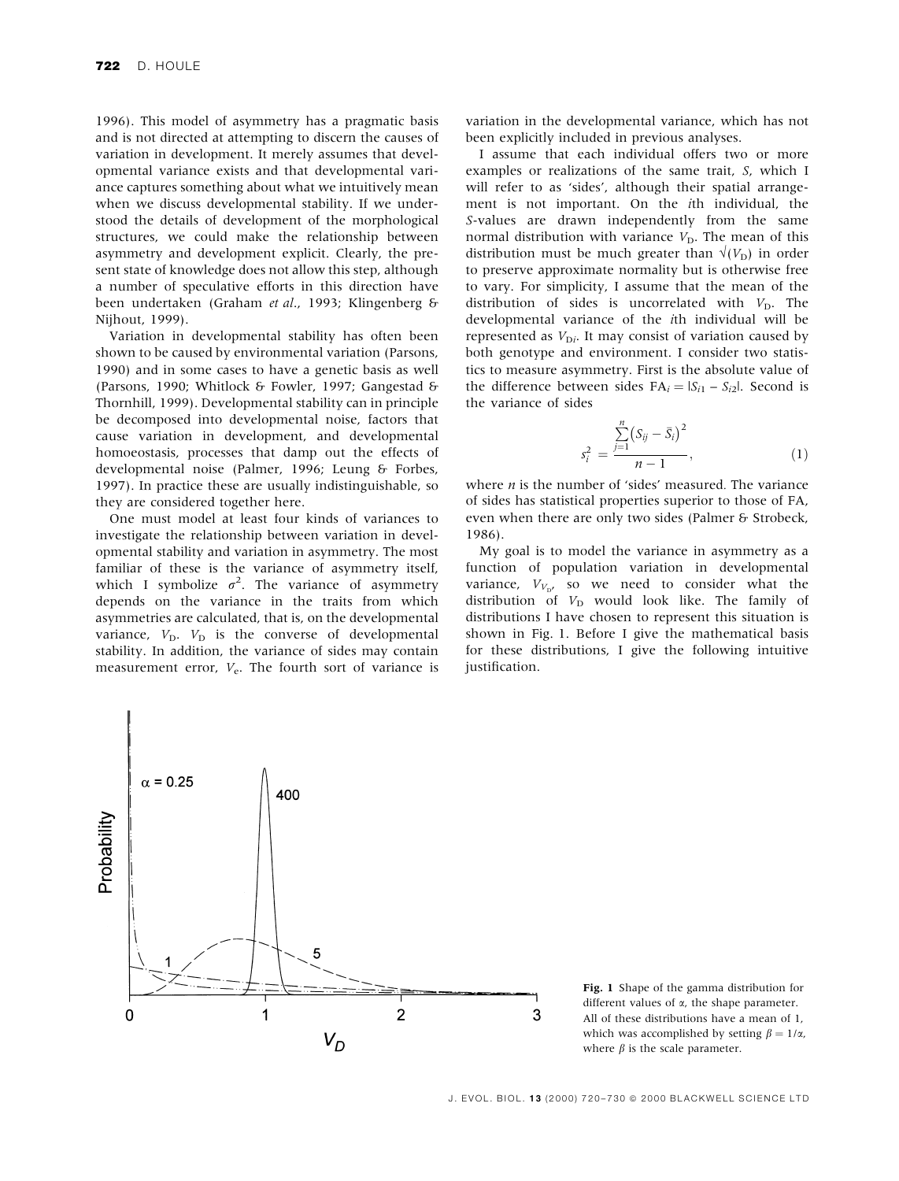1996). This model of asymmetry has a pragmatic basis and is not directed at attempting to discern the causes of variation in development. It merely assumes that developmental variance exists and that developmental variance captures something about what we intuitively mean when we discuss developmental stability. If we understood the details of development of the morphological structures, we could make the relationship between asymmetry and development explicit. Clearly, the present state of knowledge does not allow this step, although a number of speculative efforts in this direction have been undertaken (Graham et al., 1993; Klingenberg & Nijhout, 1999).

Variation in developmental stability has often been shown to be caused by environmental variation (Parsons, 1990) and in some cases to have a genetic basis as well (Parsons, 1990; Whitlock & Fowler, 1997; Gangestad & Thornhill, 1999). Developmental stability can in principle be decomposed into developmental noise, factors that cause variation in development, and developmental homoeostasis, processes that damp out the effects of developmental noise (Palmer, 1996; Leung & Forbes, 1997). In practice these are usually indistinguishable, so they are considered together here.

One must model at least four kinds of variances to investigate the relationship between variation in developmental stability and variation in asymmetry. The most familiar of these is the variance of asymmetry itself, which I symbolize  $\sigma^2$ . The variance of asymmetry depends on the variance in the traits from which asymmetries are calculated, that is, on the developmental variance,  $V_D$ .  $V_D$  is the converse of developmental stability. In addition, the variance of sides may contain measurement error,  $V_e$ . The fourth sort of variance is

variation in the developmental variance, which has not been explicitly included in previous analyses.

I assume that each individual offers two or more examples or realizations of the same trait, S, which I will refer to as 'sides', although their spatial arrangement is not important. On the ith individual, the S-values are drawn independently from the same normal distribution with variance  $V<sub>D</sub>$ . The mean of this distribution must be much greater than  $\sqrt{(V_D)}$  in order to preserve approximate normality but is otherwise free to vary. For simplicity, I assume that the mean of the distribution of sides is uncorrelated with  $V_D$ . The developmental variance of the ith individual will be represented as  $V_{Di}$ . It may consist of variation caused by both genotype and environment. I consider two statistics to measure asymmetry. First is the absolute value of the difference between sides  $FA_i = |S_{i1} - S_{i2}|$ . Second is the variance of sides

$$
s_i^2 = \frac{\sum_{j=1}^n (S_{ij} - \bar{S}_i)^2}{n-1},
$$
\n(1)

where  $n$  is the number of 'sides' measured. The variance of sides has statistical properties superior to those of FA, even when there are only two sides (Palmer & Strobeck, 1986).

My goal is to model the variance in asymmetry as a function of population variation in developmental variance,  $V_{V_{\text{D}'}}$  so we need to consider what the distribution of  $V_D$  would look like. The family of distributions I have chosen to represent this situation is shown in Fig. 1. Before I give the mathematical basis for these distributions, I give the following intuitive justification.



Fig. 1 Shape of the gamma distribution for different values of  $\alpha$ , the shape parameter. All of these distributions have a mean of 1, which was accomplished by setting  $\beta = 1/\alpha$ , where  $\beta$  is the scale parameter.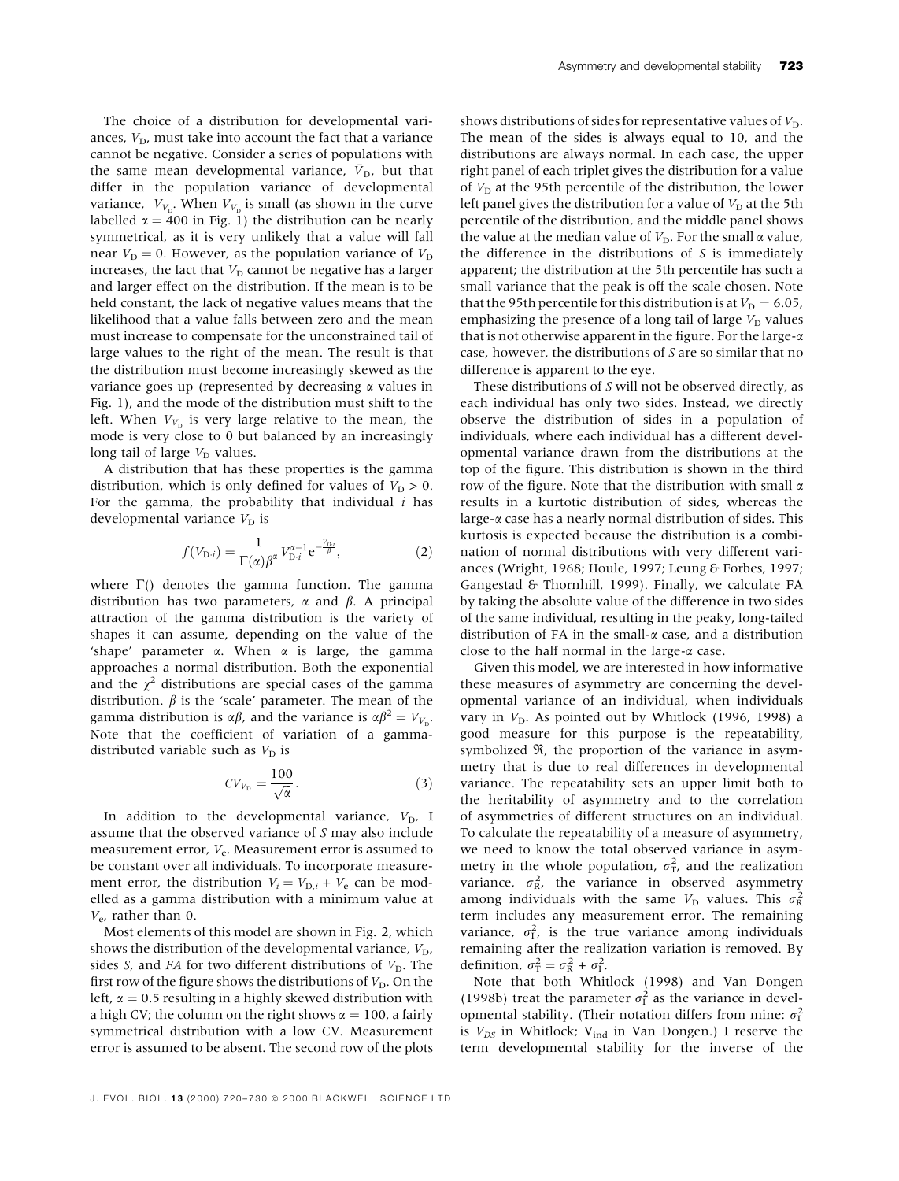The choice of a distribution for developmental variances,  $V<sub>D</sub>$ , must take into account the fact that a variance cannot be negative. Consider a series of populations with the same mean developmental variance,  $\bar{V}_{\text{D}}$ , but that differ in the population variance of developmental variance,  $V_{V_{\rm D}}$ . When  $V_{V_{\rm D}}$  is small (as shown in the curve labelled  $\alpha = 400$  in Fig. 1) the distribution can be nearly symmetrical, as it is very unlikely that a value will fall near  $V_D = 0$ . However, as the population variance of  $V_D$ increases, the fact that  $V<sub>D</sub>$  cannot be negative has a larger and larger effect on the distribution. If the mean is to be held constant, the lack of negative values means that the likelihood that a value falls between zero and the mean must increase to compensate for the unconstrained tail of large values to the right of the mean. The result is that the distribution must become increasingly skewed as the variance goes up (represented by decreasing  $\alpha$  values in Fig. 1), and the mode of the distribution must shift to the left. When  $V_{V_p}$  is very large relative to the mean, the mode is very close to 0 but balanced by an increasingly long tail of large  $V_D$  values.

A distribution that has these properties is the gamma distribution, which is only defined for values of  $V_D > 0$ . For the gamma, the probability that individual  $i$  has developmental variance  $V_D$  is

$$
f(V_{\text{D}i}) = \frac{1}{\Gamma(\alpha)\beta^{\alpha}} V_{\text{D}i}^{\alpha-1} e^{-\frac{V_{\text{D}i}}{\beta}},
$$
 (2)

where  $\Gamma$ () denotes the gamma function. The gamma distribution has two parameters,  $\alpha$  and  $\beta$ . A principal attraction of the gamma distribution is the variety of shapes it can assume, depending on the value of the 'shape' parameter  $\alpha$ . When  $\alpha$  is large, the gamma approaches a normal distribution. Both the exponential and the  $\chi^2$  distributions are special cases of the gamma distribution.  $\beta$  is the 'scale' parameter. The mean of the gamma distribution is  $\alpha\beta$ , and the variance is  $\alpha\beta^2 = V_{V_D}$ . Note that the coefficient of variation of a gammadistributed variable such as  $V<sub>D</sub>$  is

$$
CV_{V_{\rm D}} = \frac{100}{\sqrt{\alpha}}.\tag{3}
$$

In addition to the developmental variance,  $V_D$ , I assume that the observed variance of S may also include measurement error,  $V_e$ . Measurement error is assumed to be constant over all individuals. To incorporate measurement error, the distribution  $V_i = V_{D,i} + V_e$  can be modelled as a gamma distribution with a minimum value at  $V_e$ , rather than 0.

Most elements of this model are shown in Fig. 2, which shows the distribution of the developmental variance,  $V_D$ , sides S, and FA for two different distributions of  $V<sub>D</sub>$ . The first row of the figure shows the distributions of  $V_D$ . On the left,  $\alpha$  = 0.5 resulting in a highly skewed distribution with a high CV; the column on the right shows  $\alpha = 100$ , a fairly symmetrical distribution with a low CV. Measurement error is assumed to be absent. The second row of the plots

shows distributions of sides for representative values of  $V_D$ . The mean of the sides is always equal to 10, and the distributions are always normal. In each case, the upper right panel of each triplet gives the distribution for a value of  $V<sub>D</sub>$  at the 95th percentile of the distribution, the lower left panel gives the distribution for a value of  $V<sub>D</sub>$  at the 5th percentile of the distribution, and the middle panel shows the value at the median value of  $V<sub>D</sub>$ . For the small  $\alpha$  value, the difference in the distributions of  $S$  is immediately apparent; the distribution at the 5th percentile has such a small variance that the peak is off the scale chosen. Note that the 95th percentile for this distribution is at  $V_D = 6.05$ , emphasizing the presence of a long tail of large  $V<sub>D</sub>$  values that is not otherwise apparent in the figure. For the large- $\alpha$ case, however, the distributions of S are so similar that no difference is apparent to the eye.

These distributions of S will not be observed directly, as each individual has only two sides. Instead, we directly observe the distribution of sides in a population of individuals, where each individual has a different developmental variance drawn from the distributions at the top of the figure. This distribution is shown in the third row of the figure. Note that the distribution with small  $\alpha$ results in a kurtotic distribution of sides, whereas the large-a case has a nearly normal distribution of sides. This kurtosis is expected because the distribution is a combination of normal distributions with very different variances (Wright, 1968; Houle, 1997; Leung & Forbes, 1997; Gangestad & Thornhill, 1999). Finally, we calculate FA by taking the absolute value of the difference in two sides of the same individual, resulting in the peaky, long-tailed distribution of FA in the small- $\alpha$  case, and a distribution close to the half normal in the large- $\alpha$  case.

Given this model, we are interested in how informative these measures of asymmetry are concerning the developmental variance of an individual, when individuals vary in  $V<sub>D</sub>$ . As pointed out by Whitlock (1996, 1998) a good measure for this purpose is the repeatability, symbolized  $\Re$ , the proportion of the variance in asymmetry that is due to real differences in developmental variance. The repeatability sets an upper limit both to the heritability of asymmetry and to the correlation of asymmetries of different structures on an individual. To calculate the repeatability of a measure of asymmetry, we need to know the total observed variance in asymmetry in the whole population,  $\sigma_T^2$ , and the realization variance,  $\sigma_{\rm R}^2$ , the variance in observed asymmetry among individuals with the same  $V_D$  values. This  $\sigma_R^2$ term includes any measurement error. The remaining variance,  $\sigma_{\text{I}}^2$ , is the true variance among individuals remaining after the realization variation is removed. By definition,  $\sigma_{\rm T}^2 = \sigma_{\rm R}^2 + \sigma_{\rm I}^2$ .

Note that both Whitlock (1998) and Van Dongen (1998b) treat the parameter  $\sigma_{I}^{2}$  as the variance in developmental stability. (Their notation differs from mine:  $\sigma_{\text{I}}^2$ is  $V_{DS}$  in Whitlock;  $V_{ind}$  in Van Dongen.) I reserve the term developmental stability for the inverse of the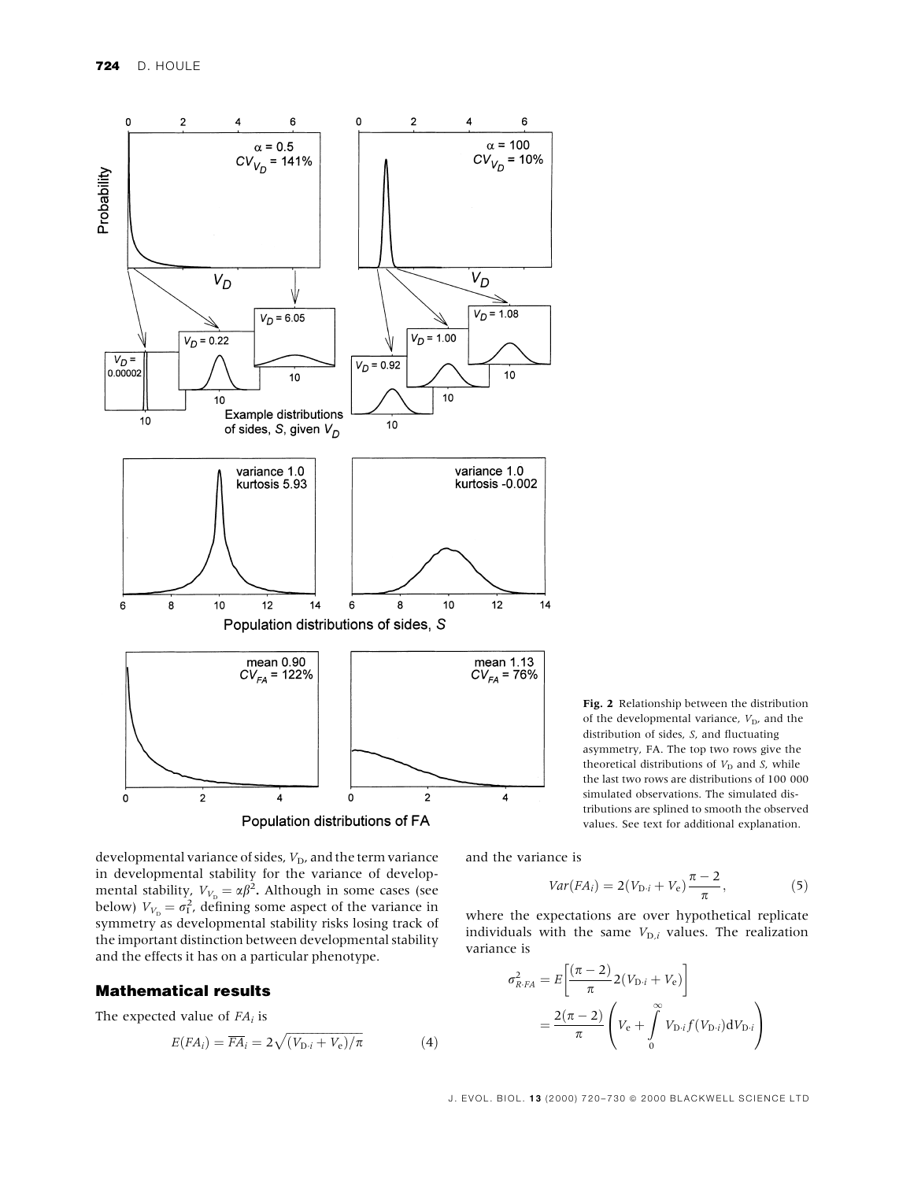

Fig. 2 Relationship between the distribution of the developmental variance,  $V_D$ , and the distribution of sides, S, and fluctuating asymmetry, FA. The top two rows give the theoretical distributions of  $V<sub>D</sub>$  and S, while the last two rows are distributions of 100 000 simulated observations. The simulated distributions are splined to smooth the observed values. See text for additional explanation.

developmental variance of sides,  $V<sub>D</sub>$ , and the term variance in developmental stability for the variance of developmental stability,  $V_{V_D} = \alpha \beta^2$ . Although in some cases (see below)  $V_{V_D} = \sigma_I^2$ , defining some aspect of the variance in symmetry as developmental stability risks losing track of the important distinction between developmental stability and the effects it has on a particular phenotype.

### Mathematical results

The expected value of  $FA_i$  is

$$
E(FA_i) = \overline{FA}_i = 2\sqrt{(V_{\text{D}}.i + V_{\text{e}})/\pi}
$$
 (4)

and the variance is

$$
Var(FA_i) = 2(V_{D \cdot i} + V_e) \frac{\pi - 2}{\pi},
$$
\n(5)

where the expectations are over hypothetical replicate individuals with the same  $V_{\text{D},i}$  values. The realization variance is

$$
\sigma_{R \cdot FA}^2 = E \left[ \frac{(\pi - 2)}{\pi} 2(V_{D \cdot i} + V_e) \right]
$$
  
=  $\frac{2(\pi - 2)}{\pi} \left( V_e + \int_0^\infty V_{D \cdot i} f(V_{D \cdot i}) dV_{D \cdot i} \right)$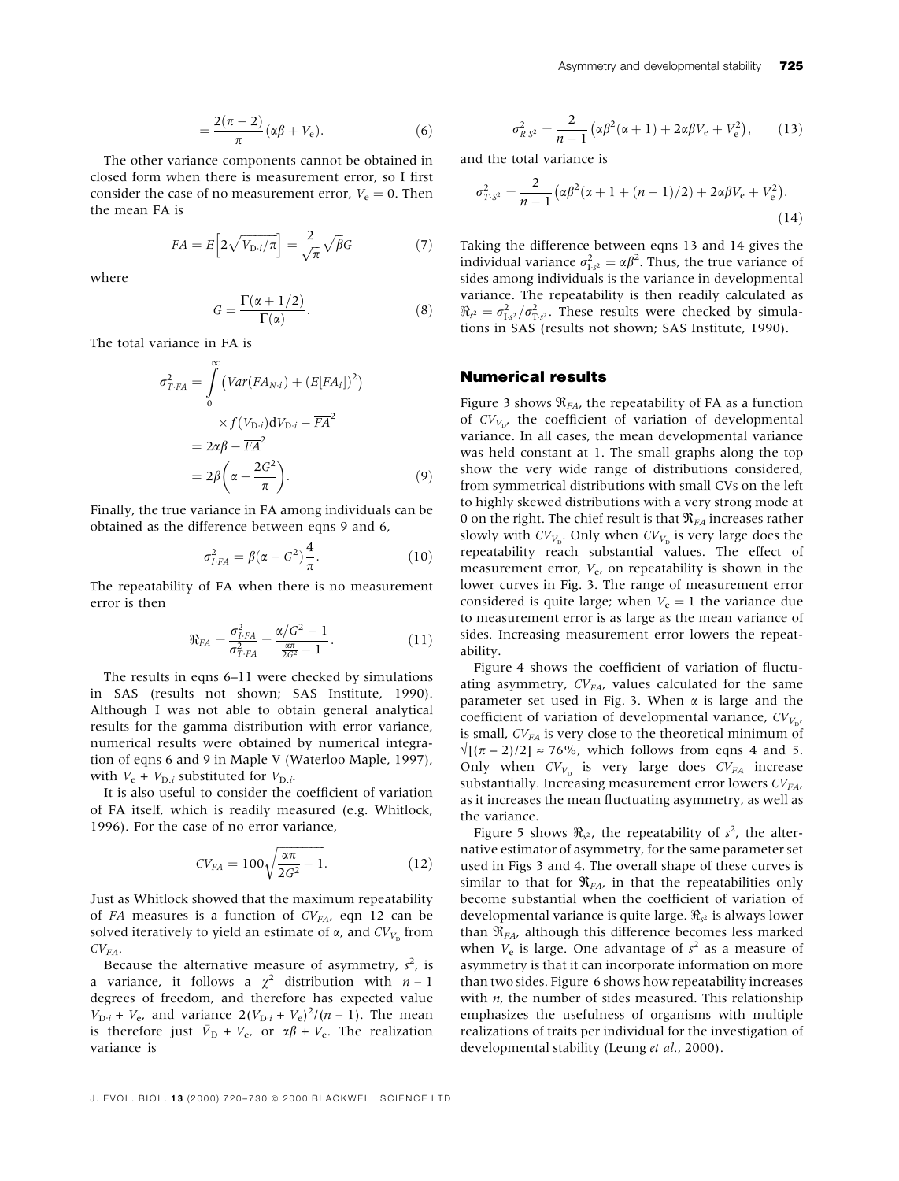$$
=\frac{2(\pi-2)}{\pi}(\alpha\beta+V_{\rm e}).
$$
\n(6)

The other variance components cannot be obtained in closed form when there is measurement error, so I first consider the case of no measurement error,  $V_e = 0$ . Then the mean FA is

$$
\overline{FA} = E\Big[2\sqrt{V_{\text{D}}/T}\Big] = \frac{2}{\sqrt{\pi}}\sqrt{\beta}G\tag{7}
$$

where

$$
G = \frac{\Gamma(\alpha + 1/2)}{\Gamma(\alpha)}.
$$
 (8)

The total variance in FA is

$$
\sigma_{T \cdot FA}^2 = \int_0^\infty \left( Var(FA_{N \cdot i}) + (E[FA_i])^2 \right)
$$
  
 
$$
\times f(V_{D \cdot i}) dV_{D \cdot i} - \overline{FA}^2
$$
  

$$
= 2\alpha \beta - \overline{FA}^2
$$
  

$$
= 2\beta \left( \alpha - \frac{2G^2}{\pi} \right).
$$
 (9)

Finally, the true variance in FA among individuals can be obtained as the difference between eqns 9 and 6,

$$
\sigma_{I\cdot FA}^2 = \beta(\alpha - G^2)\frac{4}{\pi}.\tag{10}
$$

The repeatability of FA when there is no measurement error is then

$$
\Re_{FA} = \frac{\sigma_{I,FA}^2}{\sigma_{T,FA}^2} = \frac{\alpha/G^2 - 1}{\frac{\alpha\pi}{2G^2} - 1}.
$$
 (11)

The results in eqns 6-11 were checked by simulations in SAS (results not shown; SAS Institute, 1990). Although I was not able to obtain general analytical results for the gamma distribution with error variance, numerical results were obtained by numerical integration of eqns 6 and 9 in Maple V (Waterloo Maple, 1997), with  $V_e + V_{D,i}$  substituted for  $V_{D,i}$ .

It is also useful to consider the coefficient of variation of FA itself, which is readily measured (e.g. Whitlock, 1996). For the case of no error variance,

$$
CV_{FA} = 100\sqrt{\frac{\alpha\pi}{2G^2} - 1}.
$$
 (12)

Just as Whitlock showed that the maximum repeatability of FA measures is a function of  $CV_{FA}$ , eqn 12 can be solved iteratively to yield an estimate of  $\alpha$ , and  $CV_{V_{\alpha}}$  from  $CV_{FA}$ .

Because the alternative measure of asymmetry,  $s^2$ , is a variance, it follows a  $\chi^2$  distribution with  $n-1$ degrees of freedom, and therefore has expected value  $V_{D:i} + V_{e}$ , and variance  $2(V_{D:i} + V_{e})^2/(n-1)$ . The mean is therefore just  $\bar{V}_{\text{D}} + V_{\text{e}}$ , or  $\alpha\beta + V_{\text{e}}$ . The realization variance is

$$
\sigma_{R.S^2}^2 = \frac{2}{n-1} \left( \alpha \beta^2 (\alpha + 1) + 2 \alpha \beta V_e + V_e^2 \right), \qquad (13)
$$

and the total variance is

$$
\sigma_{T,S^2}^2 = \frac{2}{n-1} \left( \alpha \beta^2 (\alpha + 1 + (n-1)/2) + 2\alpha \beta V_e + V_e^2 \right).
$$
\n(14)

Taking the difference between eqns 13 and 14 gives the individual variance  $\sigma_{1,s^2}^2 = \alpha \beta^2$ . Thus, the true variance of sides among individuals is the variance in developmental variance. The repeatability is then readily calculated as  $\Re_{s^2} = \sigma_{1,s^2}^2 / \sigma_{1,s^2}^2$ . These results were checked by simulations in SAS (results not shown; SAS Institute, 1990).

### Numerical results

Figure 3 shows  $\Re_{FA}$ , the repeatability of FA as a function of  $CV_{V_{D'}}$  the coefficient of variation of developmental variance. In all cases, the mean developmental variance was held constant at 1. The small graphs along the top show the very wide range of distributions considered, from symmetrical distributions with small CVs on the left to highly skewed distributions with a very strong mode at 0 on the right. The chief result is that  $\Re_{FA}$  increases rather slowly with  $CV_{V_{\text{D}}}$ . Only when  $CV_{V_{\text{D}}}$  is very large does the repeatability reach substantial values. The effect of measurement error,  $V_e$ , on repeatability is shown in the lower curves in Fig. 3. The range of measurement error considered is quite large; when  $V_e = 1$  the variance due to measurement error is as large as the mean variance of sides. Increasing measurement error lowers the repeatability.

Figure 4 shows the coefficient of variation of fluctuating asymmetry,  $CV_{FA}$ , values calculated for the same parameter set used in Fig. 3. When  $\alpha$  is large and the coefficient of variation of developmental variance,  $CV_{V_{\text{D}'}}$ is small,  $CV_{FA}$  is very close to the theoretical minimum of  $\sqrt{[(\pi - 2)/2]} \approx 76\%$ , which follows from eqns 4 and 5. Only when  $CV_{V_D}$  is very large does  $CV_{FA}$  increase substantially. Increasing measurement error lowers  $CV_{FA}$ , as it increases the mean fluctuating asymmetry, as well as the variance.

Figure 5 shows  $\Re_{s^2}$ , the repeatability of  $s^2$ , the alternative estimator of asymmetry, for the same parameter set used in Figs 3 and 4. The overall shape of these curves is similar to that for  $\Re_{FA}$ , in that the repeatabilities only become substantial when the coefficient of variation of developmental variance is quite large.  $\Re_{s^2}$  is always lower than  $\Re_{FA}$ , although this difference becomes less marked when  $V_e$  is large. One advantage of  $s^2$  as a measure of asymmetry is that it can incorporate information on more than two sides. Figure 6 shows how repeatability increases with  $n$ , the number of sides measured. This relationship emphasizes the usefulness of organisms with multiple realizations of traits per individual for the investigation of developmental stability (Leung et al., 2000).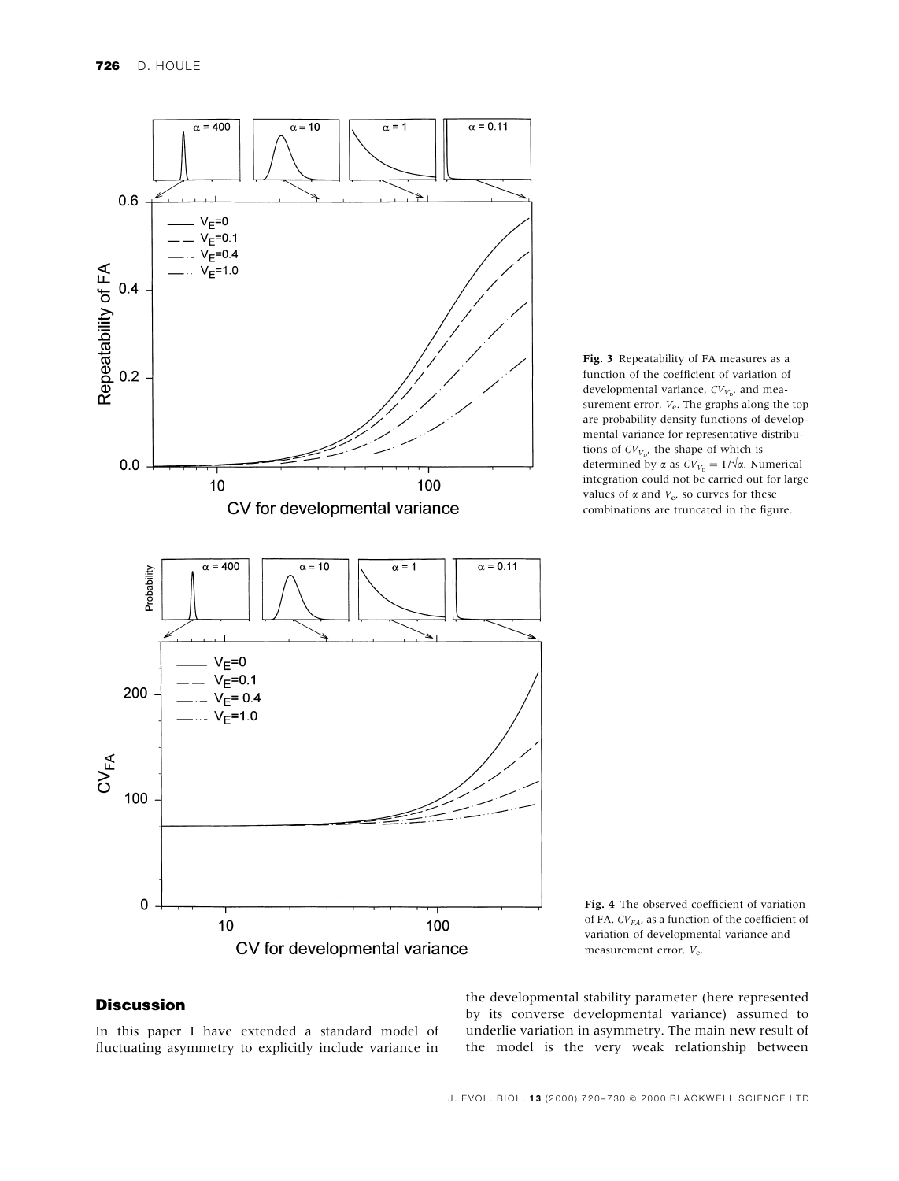



Fig. 4 The observed coefficient of variation of FA,  $CV_{FA}$ , as a function of the coefficient of variation of developmental variance and measurement error, Ve.

## **Discussion**

In this paper I have extended a standard model of fluctuating asymmetry to explicitly include variance in the developmental stability parameter (here represented by its converse developmental variance) assumed to underlie variation in asymmetry. The main new result of the model is the very weak relationship between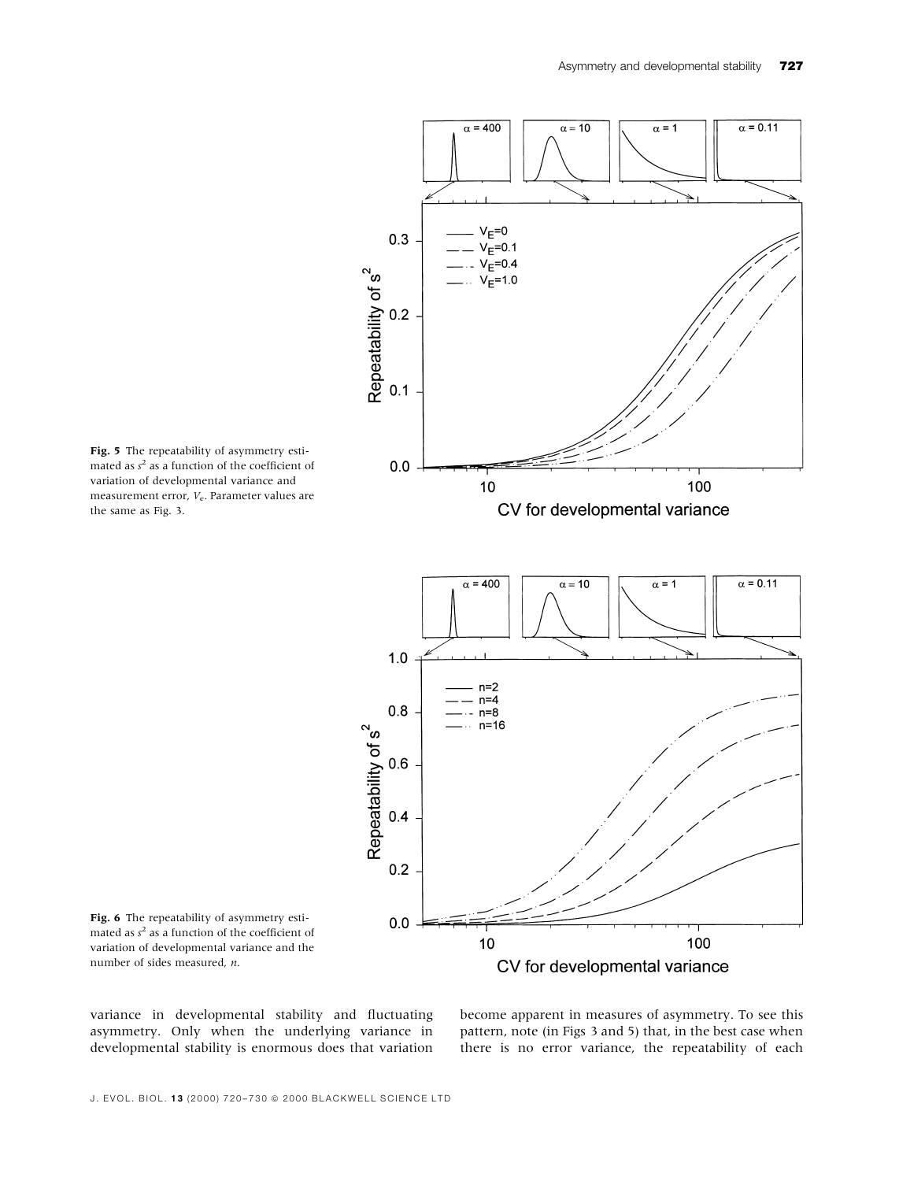

Fig. 5 The repeatability of asymmetry estimated as  $s^2$  as a function of the coefficient of variation of developmental variance and measurement error,  $V_e$ . Parameter values are the same as Fig. 3.



variance in developmental stability and fluctuating asymmetry. Only when the underlying variance in developmental stability is enormous does that variation become apparent in measures of asymmetry. To see this pattern, note (in Figs 3 and 5) that, in the best case when there is no error variance, the repeatability of each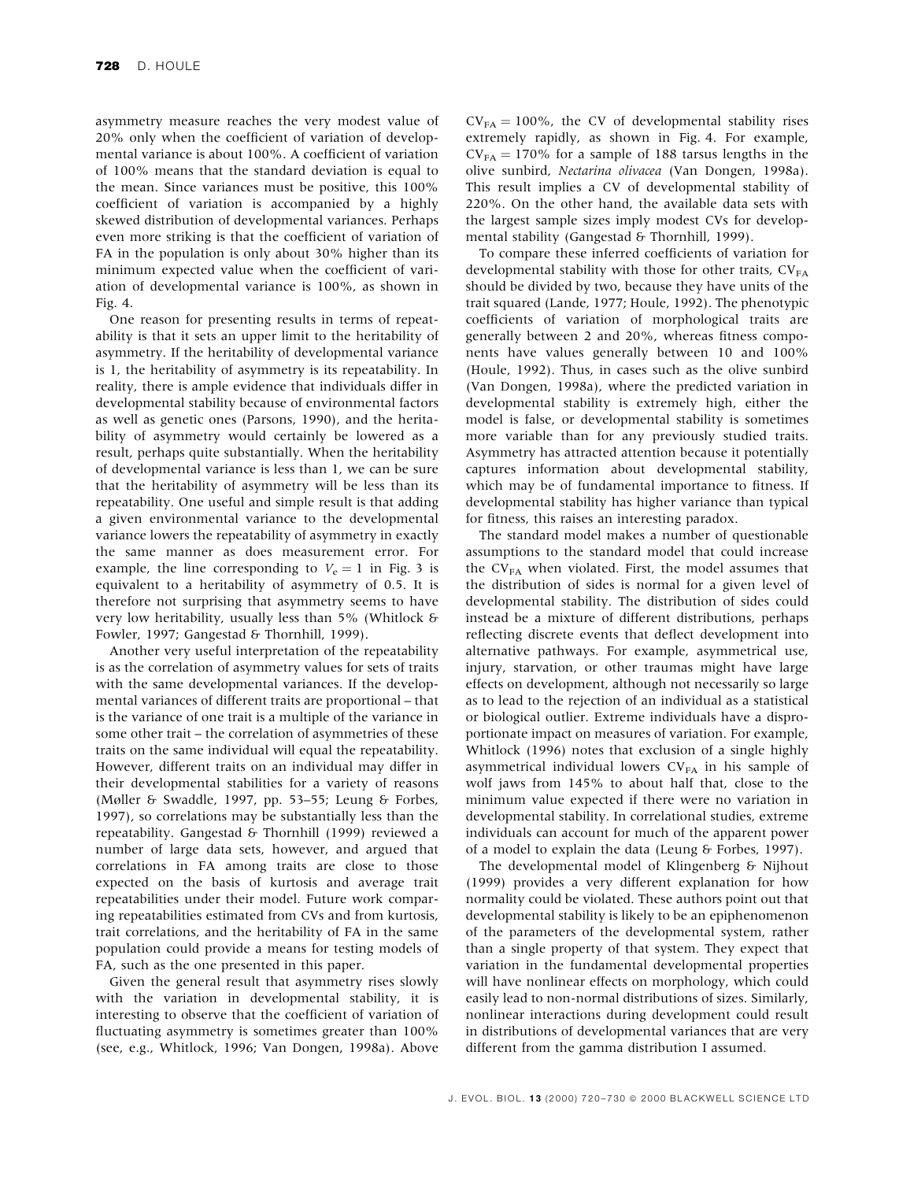asymmetry measure reaches the very modest value of 20% only when the coefficient of variation of developmental variance is about 100%. A coefficient of variation of 100% means that the standard deviation is equal to the mean. Since variances must be positive, this 100% coefficient of variation is accompanied by a highly skewed distribution of developmental variances. Perhaps even more striking is that the coefficient of variation of FA in the population is only about 30% higher than its minimum expected value when the coefficient of variation of developmental variance is 100%, as shown in Fig. 4.

One reason for presenting results in terms of repeatability is that it sets an upper limit to the heritability of asymmetry. If the heritability of developmental variance is 1, the heritability of asymmetry is its repeatability. In reality, there is ample evidence that individuals differ in developmental stability because of environmental factors as well as genetic ones (Parsons, 1990), and the heritability of asymmetry would certainly be lowered as a result, perhaps quite substantially. When the heritability of developmental variance is less than 1, we can be sure that the heritability of asymmetry will be less than its repeatability. One useful and simple result is that adding a given environmental variance to the developmental variance lowers the repeatability of asymmetry in exactly the same manner as does measurement error. For example, the line corresponding to  $V_e = 1$  in Fig. 3 is equivalent to a heritability of asymmetry of 0.5. It is therefore not surprising that asymmetry seems to have very low heritability, usually less than 5% (Whitlock & Fowler, 1997; Gangestad & Thornhill, 1999).

Another very useful interpretation of the repeatability is as the correlation of asymmetry values for sets of traits with the same developmental variances. If the developmental variances of different traits are proportional - that is the variance of one trait is a multiple of the variance in some other trait – the correlation of asymmetries of these traits on the same individual will equal the repeatability. However, different traits on an individual may differ in their developmental stabilities for a variety of reasons (Møller & Swaddle, 1997, pp. 53-55; Leung & Forbes, 1997), so correlations may be substantially less than the repeatability. Gangestad & Thornhill (1999) reviewed a number of large data sets, however, and argued that correlations in FA among traits are close to those expected on the basis of kurtosis and average trait repeatabilities under their model. Future work comparing repeatabilities estimated from CVs and from kurtosis, trait correlations, and the heritability of FA in the same population could provide a means for testing models of FA, such as the one presented in this paper.

Given the general result that asymmetry rises slowly with the variation in developmental stability, it is interesting to observe that the coefficient of variation of fluctuating asymmetry is sometimes greater than  $100\%$ (see, e.g., Whitlock, 1996; Van Dongen, 1998a). Above  $CV_{FA} = 100\%$ , the CV of developmental stability rises extremely rapidly, as shown in Fig. 4. For example,  $CV_{FA} = 170\%$  for a sample of 188 tarsus lengths in the olive sunbird, Nectarina olivacea (Van Dongen, 1998a). This result implies a CV of developmental stability of 220%. On the other hand, the available data sets with the largest sample sizes imply modest CVs for developmental stability (Gangestad & Thornhill, 1999).

To compare these inferred coefficients of variation for developmental stability with those for other traits,  $CV_{FA}$ should be divided by two, because they have units of the trait squared (Lande, 1977; Houle, 1992). The phenotypic coefficients of variation of morphological traits are generally between 2 and 20%, whereas fitness components have values generally between 10 and 100% (Houle, 1992). Thus, in cases such as the olive sunbird (Van Dongen, 1998a), where the predicted variation in developmental stability is extremely high, either the model is false, or developmental stability is sometimes more variable than for any previously studied traits. Asymmetry has attracted attention because it potentially captures information about developmental stability, which may be of fundamental importance to fitness. If developmental stability has higher variance than typical for fitness, this raises an interesting paradox.

The standard model makes a number of questionable assumptions to the standard model that could increase the  $CV_{FA}$  when violated. First, the model assumes that the distribution of sides is normal for a given level of developmental stability. The distribution of sides could instead be a mixture of different distributions, perhaps reflecting discrete events that deflect development into alternative pathways. For example, asymmetrical use, injury, starvation, or other traumas might have large effects on development, although not necessarily so large as to lead to the rejection of an individual as a statistical or biological outlier. Extreme individuals have a disproportionate impact on measures of variation. For example, Whitlock (1996) notes that exclusion of a single highly asymmetrical individual lowers  $CV_{FA}$  in his sample of wolf jaws from 145% to about half that, close to the minimum value expected if there were no variation in developmental stability. In correlational studies, extreme individuals can account for much of the apparent power of a model to explain the data (Leung & Forbes, 1997).

The developmental model of Klingenberg & Nijhout (1999) provides a very different explanation for how normality could be violated. These authors point out that developmental stability is likely to be an epiphenomenon of the parameters of the developmental system, rather than a single property of that system. They expect that variation in the fundamental developmental properties will have nonlinear effects on morphology, which could easily lead to non-normal distributions of sizes. Similarly, nonlinear interactions during development could result in distributions of developmental variances that are very different from the gamma distribution I assumed.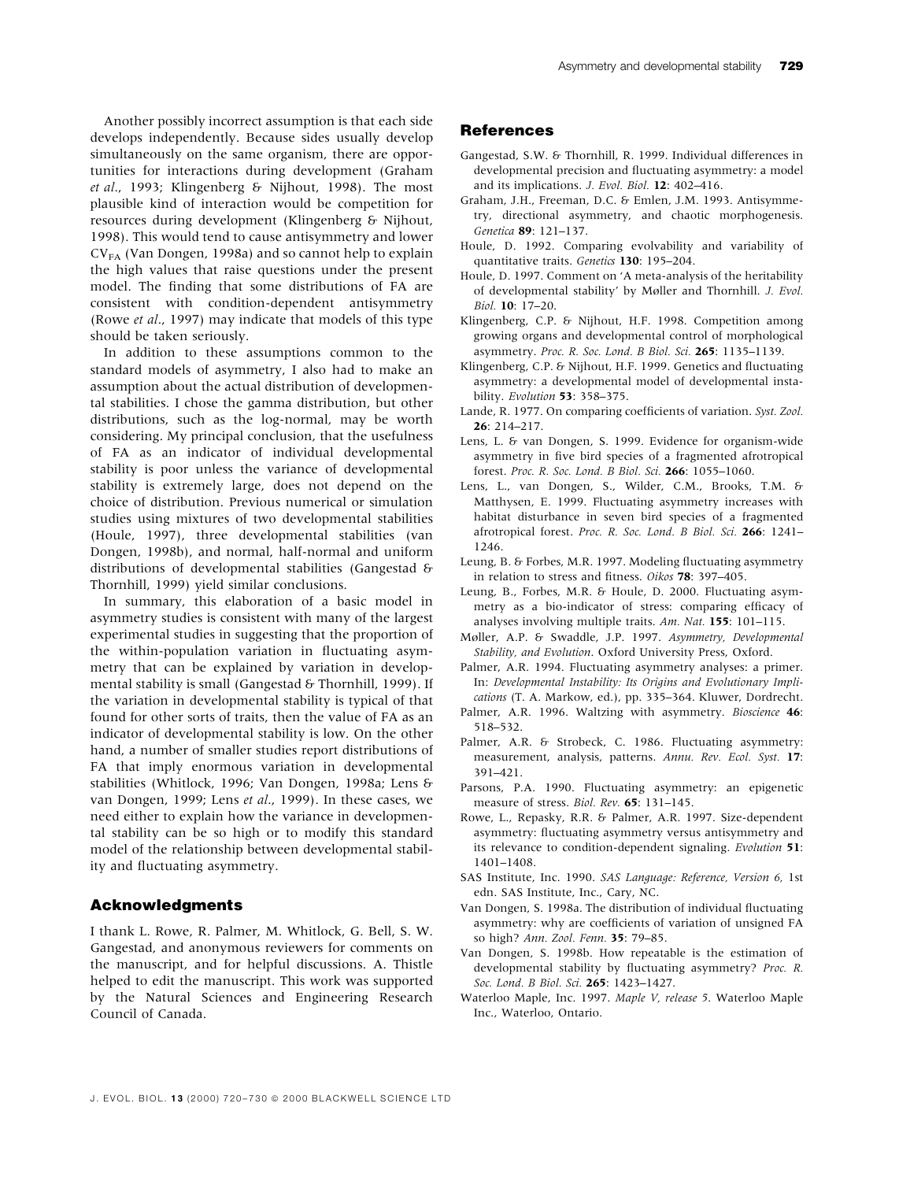Another possibly incorrect assumption is that each side develops independently. Because sides usually develop simultaneously on the same organism, there are opportunities for interactions during development (Graham et al., 1993; Klingenberg & Nijhout, 1998). The most plausible kind of interaction would be competition for resources during development (Klingenberg & Nijhout, 1998). This would tend to cause antisymmetry and lower  $CV_{FA}$  (Van Dongen, 1998a) and so cannot help to explain the high values that raise questions under the present model. The finding that some distributions of FA are consistent with condition-dependent antisymmetry (Rowe et al., 1997) may indicate that models of this type should be taken seriously.

In addition to these assumptions common to the standard models of asymmetry, I also had to make an assumption about the actual distribution of developmental stabilities. I chose the gamma distribution, but other distributions, such as the log-normal, may be worth considering. My principal conclusion, that the usefulness of FA as an indicator of individual developmental stability is poor unless the variance of developmental stability is extremely large, does not depend on the choice of distribution. Previous numerical or simulation studies using mixtures of two developmental stabilities (Houle, 1997), three developmental stabilities (van Dongen, 1998b), and normal, half-normal and uniform distributions of developmental stabilities (Gangestad & Thornhill, 1999) yield similar conclusions.

In summary, this elaboration of a basic model in asymmetry studies is consistent with many of the largest experimental studies in suggesting that the proportion of the within-population variation in fluctuating asymmetry that can be explained by variation in developmental stability is small (Gangestad & Thornhill, 1999). If the variation in developmental stability is typical of that found for other sorts of traits, then the value of FA as an indicator of developmental stability is low. On the other hand, a number of smaller studies report distributions of FA that imply enormous variation in developmental stabilities (Whitlock, 1996; Van Dongen, 1998a; Lens & van Dongen, 1999; Lens et al., 1999). In these cases, we need either to explain how the variance in developmental stability can be so high or to modify this standard model of the relationship between developmental stability and fluctuating asymmetry.

#### Acknowledgments

I thank L. Rowe, R. Palmer, M. Whitlock, G. Bell, S. W. Gangestad, and anonymous reviewers for comments on the manuscript, and for helpful discussions. A. Thistle helped to edit the manuscript. This work was supported by the Natural Sciences and Engineering Research Council of Canada.

### **References**

- Gangestad, S.W. & Thornhill, R. 1999. Individual differences in developmental precision and fluctuating asymmetry: a model and its implications. *J. Evol. Biol.*  $12: 402-416$ .
- Graham, J.H., Freeman, D.C. & Emlen, J.M. 1993. Antisymmetry, directional asymmetry, and chaotic morphogenesis. Genetica 89: 121-137.
- Houle, D. 1992. Comparing evolvability and variability of quantitative traits. Genetics 130: 195-204.
- Houle, D. 1997. Comment on 'A meta-analysis of the heritability of developmental stability' by Møller and Thornhill. J. Evol. Biol. 10: 17-20.
- Klingenberg, C.P. & Nijhout, H.F. 1998. Competition among growing organs and developmental control of morphological asymmetry. Proc. R. Soc. Lond. B Biol. Sci. 265: 1135-1139.
- Klingenberg, C.P. & Nijhout, H.F. 1999. Genetics and fluctuating asymmetry: a developmental model of developmental instability. Evolution 53: 358-375.
- Lande, R. 1977. On comparing coefficients of variation. Syst. Zool.  $26:214-217$
- Lens, L. & van Dongen, S. 1999. Evidence for organism-wide asymmetry in five bird species of a fragmented afrotropical forest. Proc. R. Soc. Lond. B Biol. Sci. 266: 1055-1060.
- Lens, L., van Dongen, S., Wilder, C.M., Brooks, T.M. & Matthysen, E. 1999. Fluctuating asymmetry increases with habitat disturbance in seven bird species of a fragmented afrotropical forest. Proc. R. Soc. Lond. B Biol. Sci. 266: 1241-1246.
- Leung, B. & Forbes, M.R. 1997. Modeling fluctuating asymmetry in relation to stress and fitness. Oikos 78: 397-405.
- Leung, B., Forbes, M.R. & Houle, D. 2000. Fluctuating asymmetry as a bio-indicator of stress: comparing efficacy of analyses involving multiple traits.  $Am. Nat.$  155: 101-115.
- Møller, A.P. & Swaddle, J.P. 1997. Asymmetry, Developmental Stability, and Evolution. Oxford University Press, Oxford.
- Palmer, A.R. 1994. Fluctuating asymmetry analyses: a primer. In: Developmental Instability: Its Origins and Evolutionary Implications (T. A. Markow, ed.), pp. 335-364. Kluwer, Dordrecht.
- Palmer, A.R. 1996. Waltzing with asymmetry. Bioscience 46: 518±532.
- Palmer, A.R. & Strobeck, C. 1986. Fluctuating asymmetry: measurement, analysis, patterns. Annu. Rev. Ecol. Syst. 17:  $391 - 421$ .
- Parsons, P.A. 1990. Fluctuating asymmetry: an epigenetic measure of stress. Biol. Rev. 65: 131-145.
- Rowe, L., Repasky, R.R. & Palmer, A.R. 1997. Size-dependent asymmetry: fluctuating asymmetry versus antisymmetry and its relevance to condition-dependent signaling. Evolution 51: 1401±1408.
- SAS Institute, Inc. 1990. SAS Language: Reference, Version 6, 1st edn. SAS Institute, Inc., Cary, NC.
- Van Dongen, S. 1998a. The distribution of individual fluctuating asymmetry: why are coefficients of variation of unsigned FA so high? Ann. Zool. Fenn. 35: 79-85.
- Van Dongen, S. 1998b. How repeatable is the estimation of developmental stability by fluctuating asymmetry? Proc. R. Soc. Lond. B Biol. Sci. 265: 1423-1427.
- Waterloo Maple, Inc. 1997. Maple V, release 5. Waterloo Maple Inc., Waterloo, Ontario.